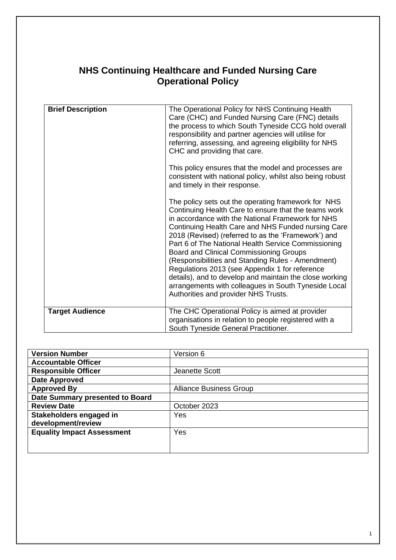# **NHS Continuing Healthcare and Funded Nursing Care Operational Policy**

| <b>Brief Description</b> | The Operational Policy for NHS Continuing Health<br>Care (CHC) and Funded Nursing Care (FNC) details<br>the process to which South Tyneside CCG hold overall<br>responsibility and partner agencies will utilise for<br>referring, assessing, and agreeing eligibility for NHS<br>CHC and providing that care.<br>This policy ensures that the model and processes are<br>consistent with national policy, whilst also being robust<br>and timely in their response.<br>The policy sets out the operating framework for NHS<br>Continuing Health Care to ensure that the teams work<br>in accordance with the National Framework for NHS<br>Continuing Health Care and NHS Funded nursing Care<br>2018 (Revised) (referred to as the 'Framework') and<br>Part 6 of The National Health Service Commissioning<br>Board and Clinical Commissioning Groups<br>(Responsibilities and Standing Rules - Amendment)<br>Regulations 2013 (see Appendix 1 for reference<br>details), and to develop and maintain the close working<br>arrangements with colleagues in South Tyneside Local<br>Authorities and provider NHS Trusts. |
|--------------------------|---------------------------------------------------------------------------------------------------------------------------------------------------------------------------------------------------------------------------------------------------------------------------------------------------------------------------------------------------------------------------------------------------------------------------------------------------------------------------------------------------------------------------------------------------------------------------------------------------------------------------------------------------------------------------------------------------------------------------------------------------------------------------------------------------------------------------------------------------------------------------------------------------------------------------------------------------------------------------------------------------------------------------------------------------------------------------------------------------------------------------|
| <b>Target Audience</b>   | The CHC Operational Policy is aimed at provider<br>organisations in relation to people registered with a<br>South Tyneside General Practitioner.                                                                                                                                                                                                                                                                                                                                                                                                                                                                                                                                                                                                                                                                                                                                                                                                                                                                                                                                                                          |

| <b>Version Number</b>             | Version 6                      |  |  |
|-----------------------------------|--------------------------------|--|--|
| <b>Accountable Officer</b>        |                                |  |  |
| <b>Responsible Officer</b>        | Jeanette Scott                 |  |  |
| <b>Date Approved</b>              |                                |  |  |
| <b>Approved By</b>                | <b>Alliance Business Group</b> |  |  |
| Date Summary presented to Board   |                                |  |  |
| <b>Review Date</b>                | October 2023                   |  |  |
| Stakeholders engaged in           | Yes                            |  |  |
| development/review                |                                |  |  |
| <b>Equality Impact Assessment</b> | Yes                            |  |  |
|                                   |                                |  |  |
|                                   |                                |  |  |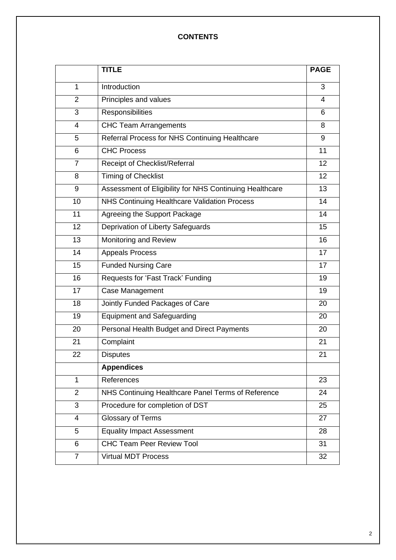## **CONTENTS**

|                | <b>TITLE</b>                                            | <b>PAGE</b> |
|----------------|---------------------------------------------------------|-------------|
| $\mathbf{1}$   | Introduction                                            | 3           |
| $\overline{2}$ | Principles and values                                   | 4           |
| 3              | Responsibilities                                        | 6           |
| 4              | <b>CHC Team Arrangements</b>                            | 8           |
| 5              | Referral Process for NHS Continuing Healthcare          | 9           |
| 6              | <b>CHC Process</b>                                      | 11          |
| $\overline{7}$ | Receipt of Checklist/Referral                           | 12          |
| 8              | <b>Timing of Checklist</b>                              | 12          |
| 9              | Assessment of Eligibility for NHS Continuing Healthcare | 13          |
| 10             | NHS Continuing Healthcare Validation Process            | 14          |
| 11             | Agreeing the Support Package                            | 14          |
| 12             | Deprivation of Liberty Safeguards                       | 15          |
| 13             | Monitoring and Review                                   | 16          |
| 14             | <b>Appeals Process</b>                                  | 17          |
| 15             | <b>Funded Nursing Care</b>                              | 17          |
| 16             | Requests for 'Fast Track' Funding                       | 19          |
| 17             | Case Management                                         | 19          |
| 18             | Jointly Funded Packages of Care                         | 20          |
| 19             | <b>Equipment and Safeguarding</b>                       | 20          |
| 20             | Personal Health Budget and Direct Payments              | 20          |
| 21             | Complaint                                               | 21          |
| 22             | <b>Disputes</b>                                         | 21          |
|                | <b>Appendices</b>                                       |             |
| 1              | References                                              | 23          |
| $\overline{2}$ | NHS Continuing Healthcare Panel Terms of Reference      | 24          |
| 3              | Procedure for completion of DST                         | 25          |
| 4              | Glossary of Terms                                       | 27          |
| 5              | <b>Equality Impact Assessment</b>                       | 28          |
| 6              | <b>CHC Team Peer Review Tool</b>                        | 31          |
| 7              | <b>Virtual MDT Process</b>                              | 32          |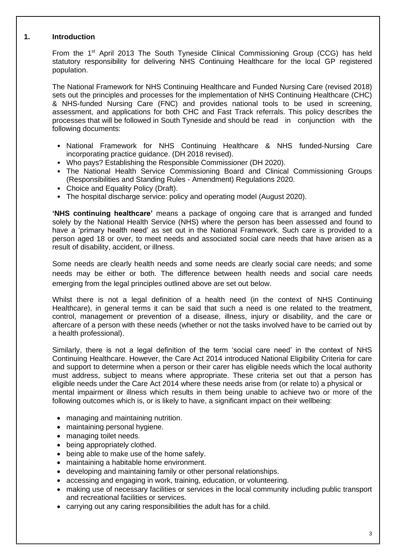#### **1. Introduction**

From the 1<sup>st</sup> April 2013 The South Tyneside Clinical Commissioning Group (CCG) has held statutory responsibility for delivering NHS Continuing Healthcare for the local GP registered population.

The National Framework for NHS Continuing Healthcare and Funded Nursing Care (revised 2018) sets out the principles and processes for the implementation of NHS Continuing Healthcare (CHC) & NHS-funded Nursing Care (FNC) and provides national tools to be used in screening, assessment, and applications for both CHC and Fast Track referrals. This policy describes the processes that will be followed in South Tyneside and should be read in conjunction with the following documents:

- National Framework for NHS Continuing Healthcare & NHS funded-Nursing Care incorporating practice guidance. (DH 2018 revised).
- Who pays? Establishing the Responsible Commissioner (DH 2020).
- The National Health Service Commissioning Board and Clinical Commissioning Groups (Responsibilities and Standing Rules - Amendment) Regulations 2020.
- Choice and Equality Policy (Draft).
- The hospital discharge service: policy and operating model (August 2020).

**'NHS continuing healthcare'** means a package of ongoing care that is arranged and funded solely by the National Health Service (NHS) where the person has been assessed and found to have a 'primary health need' as set out in the National Framework. Such care is provided to a person aged 18 or over, to meet needs and associated social care needs that have arisen as a result of disability, accident, or illness.

Some needs are clearly health needs and some needs are clearly social care needs; and some needs may be either or both. The difference between health needs and social care needs emerging from the legal principles outlined above are set out below.

Whilst there is not a legal definition of a health need (in the context of NHS Continuing Healthcare), in general terms it can be said that such a need is one related to the treatment, control, management or prevention of a disease, illness, injury or disability, and the care or aftercare of a person with these needs (whether or not the tasks involved have to be carried out by a health professional).

Similarly, there is not a legal definition of the term 'social care need' in the context of NHS Continuing Healthcare. However, the Care Act 2014 introduced National Eligibility Criteria for care and support to determine when a person or their carer has eligible needs which the local authority must address, subject to means where appropriate. These criteria set out that a person has eligible needs under the Care Act 2014 where these needs arise from (or relate to) a physical or mental impairment or illness which results in them being unable to achieve two or more of the following outcomes which is, or is likely to have, a significant impact on their wellbeing:

- managing and maintaining nutrition.
- maintaining personal hygiene.
- managing toilet needs.
- being appropriately clothed.
- being able to make use of the home safely.
- maintaining a habitable home environment.
- developing and maintaining family or other personal relationships.
- accessing and engaging in work, training, education, or volunteering.
- making use of necessary facilities or services in the local community including public transport and recreational facilities or services.
- carrying out any caring responsibilities the adult has for a child.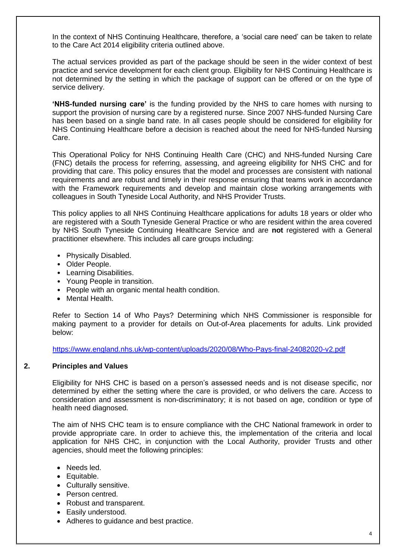In the context of NHS Continuing Healthcare, therefore, a 'social care need' can be taken to relate to the Care Act 2014 eligibility criteria outlined above.

The actual services provided as part of the package should be seen in the wider context of best practice and service development for each client group. Eligibility for NHS Continuing Healthcare is not determined by the setting in which the package of support can be offered or on the type of service delivery.

**'NHS-funded nursing care'** is the funding provided by the NHS to care homes with nursing to support the provision of nursing care by a registered nurse. Since 2007 NHS-funded Nursing Care has been based on a single band rate. In all cases people should be considered for eligibility for NHS Continuing Healthcare before a decision is reached about the need for NHS-funded Nursing Care.

This Operational Policy for NHS Continuing Health Care (CHC) and NHS-funded Nursing Care (FNC) details the process for referring, assessing, and agreeing eligibility for NHS CHC and for providing that care. This policy ensures that the model and processes are consistent with national requirements and are robust and timely in their response ensuring that teams work in accordance with the Framework requirements and develop and maintain close working arrangements with colleagues in South Tyneside Local Authority, and NHS Provider Trusts.

This policy applies to all NHS Continuing Healthcare applications for adults 18 years or older who are registered with a South Tyneside General Practice or who are resident within the area covered by NHS South Tyneside Continuing Healthcare Service and are **not** registered with a General practitioner elsewhere. This includes all care groups including:

- Physically Disabled.
- Older People.
- Learning Disabilities.
- Young People in transition.
- People with an organic mental health condition.
- Mental Health.

Refer to Section 14 of Who Pays? Determining which NHS Commissioner is responsible for making payment to a provider for details on Out-of-Area placements for adults. Link provided below:

<https://www.england.nhs.uk/wp-content/uploads/2020/08/Who-Pays-final-24082020-v2.pdf>

#### **2. Principles and Values**

Eligibility for NHS CHC is based on a person's assessed needs and is not disease specific, nor determined by either the setting where the care is provided, or who delivers the care. Access to consideration and assessment is non-discriminatory; it is not based on age, condition or type of health need diagnosed.

The aim of NHS CHC team is to ensure compliance with the CHC National framework in order to provide appropriate care. In order to achieve this, the implementation of the criteria and local application for NHS CHC, in conjunction with the Local Authority, provider Trusts and other agencies, should meet the following principles:

- Needs led.
- Equitable.
- Culturally sensitive.
- Person centred.
- Robust and transparent.
- Easily understood.
- Adheres to guidance and best practice.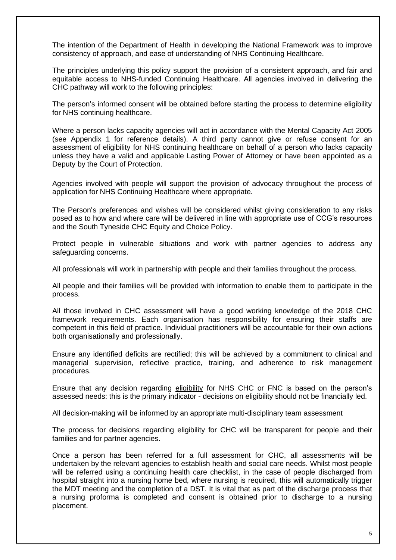The intention of the Department of Health in developing the National Framework was to improve consistency of approach, and ease of understanding of NHS Continuing Healthcare.

The principles underlying this policy support the provision of a consistent approach, and fair and equitable access to NHS-funded Continuing Healthcare. All agencies involved in delivering the CHC pathway will work to the following principles:

The person's informed consent will be obtained before starting the process to determine eligibility for NHS continuing healthcare.

Where a person lacks capacity agencies will act in accordance with the Mental Capacity Act 2005 (see Appendix 1 for reference details). A third party cannot give or refuse consent for an assessment of eligibility for NHS continuing healthcare on behalf of a person who lacks capacity unless they have a valid and applicable Lasting Power of Attorney or have been appointed as a Deputy by the Court of Protection.

Agencies involved with people will support the provision of advocacy throughout the process of application for NHS Continuing Healthcare where appropriate.

The Person's preferences and wishes will be considered whilst giving consideration to any risks posed as to how and where care will be delivered in line with appropriate use of CCG's resources and the South Tyneside CHC Equity and Choice Policy.

Protect people in vulnerable situations and work with partner agencies to address any safeguarding concerns.

All professionals will work in partnership with people and their families throughout the process.

All people and their families will be provided with information to enable them to participate in the process.

All those involved in CHC assessment will have a good working knowledge of the 2018 CHC framework requirements. Each organisation has responsibility for ensuring their staffs are competent in this field of practice. Individual practitioners will be accountable for their own actions both organisationally and professionally.

Ensure any identified deficits are rectified; this will be achieved by a commitment to clinical and managerial supervision, reflective practice, training, and adherence to risk management procedures.

Ensure that any decision regarding eligibility for NHS CHC or FNC is based on the person's assessed needs: this is the primary indicator - decisions on eligibility should not be financially led.

All decision-making will be informed by an appropriate multi-disciplinary team assessment

The process for decisions regarding eligibility for CHC will be transparent for people and their families and for partner agencies.

Once a person has been referred for a full assessment for CHC, all assessments will be undertaken by the relevant agencies to establish health and social care needs. Whilst most people will be referred using a continuing health care checklist, in the case of people discharged from hospital straight into a nursing home bed, where nursing is required, this will automatically trigger the MDT meeting and the completion of a DST. It is vital that as part of the discharge process that a nursing proforma is completed and consent is obtained prior to discharge to a nursing placement.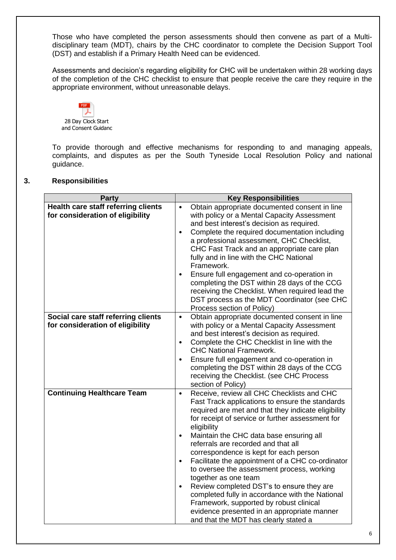Those who have completed the person assessments should then convene as part of a Multidisciplinary team (MDT), chairs by the CHC coordinator to complete the Decision Support Tool (DST) and establish if a Primary Health Need can be evidenced.

Assessments and decision's regarding eligibility for CHC will be undertaken within 28 working days of the completion of the CHC checklist to ensure that people receive the care they require in the appropriate environment, without unreasonable delays.



To provide thorough and effective mechanisms for responding to and managing appeals, complaints, and disputes as per the South Tyneside Local Resolution Policy and national guidance.

## **3. Responsibilities**

| <b>Party</b>                                                            | <b>Key Responsibilities</b>                                                                                                                                                                                                                                                                                                                                                                                                                                                                                                                                                                                                                                                                                                                                          |
|-------------------------------------------------------------------------|----------------------------------------------------------------------------------------------------------------------------------------------------------------------------------------------------------------------------------------------------------------------------------------------------------------------------------------------------------------------------------------------------------------------------------------------------------------------------------------------------------------------------------------------------------------------------------------------------------------------------------------------------------------------------------------------------------------------------------------------------------------------|
| Health care staff referring clients<br>for consideration of eligibility | Obtain appropriate documented consent in line<br>$\bullet$<br>with policy or a Mental Capacity Assessment<br>and best interest's decision as required.<br>Complete the required documentation including<br>$\bullet$<br>a professional assessment, CHC Checklist,<br>CHC Fast Track and an appropriate care plan<br>fully and in line with the CHC National<br>Framework.<br>Ensure full engagement and co-operation in<br>$\bullet$<br>completing the DST within 28 days of the CCG<br>receiving the Checklist. When required lead the                                                                                                                                                                                                                              |
|                                                                         | DST process as the MDT Coordinator (see CHC<br>Process section of Policy)                                                                                                                                                                                                                                                                                                                                                                                                                                                                                                                                                                                                                                                                                            |
| Social care staff referring clients<br>for consideration of eligibility | Obtain appropriate documented consent in line<br>$\bullet$<br>with policy or a Mental Capacity Assessment<br>and best interest's decision as required.<br>Complete the CHC Checklist in line with the<br>$\bullet$<br><b>CHC National Framework.</b><br>Ensure full engagement and co-operation in<br>$\bullet$<br>completing the DST within 28 days of the CCG<br>receiving the Checklist. (see CHC Process<br>section of Policy)                                                                                                                                                                                                                                                                                                                                   |
| <b>Continuing Healthcare Team</b>                                       | Receive, review all CHC Checklists and CHC<br>$\bullet$<br>Fast Track applications to ensure the standards<br>required are met and that they indicate eligibility<br>for receipt of service or further assessment for<br>eligibility<br>Maintain the CHC data base ensuring all<br>$\bullet$<br>referrals are recorded and that all<br>correspondence is kept for each person<br>Facilitate the appointment of a CHC co-ordinator<br>$\bullet$<br>to oversee the assessment process, working<br>together as one team<br>Review completed DST's to ensure they are<br>$\bullet$<br>completed fully in accordance with the National<br>Framework, supported by robust clinical<br>evidence presented in an appropriate manner<br>and that the MDT has clearly stated a |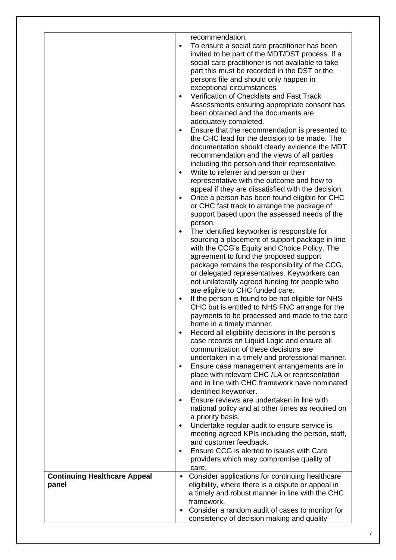|                                              | recommendation.<br>To ensure a social care practitioner has been<br>invited to be part of the MDT/DST process. If a<br>social care practitioner is not available to take<br>part this must be recorded in the DST or the<br>persons file and should only happen in<br>exceptional circumstances<br>Verification of Checklists and Fast Track<br>$\bullet$<br>Assessments ensuring appropriate consent has<br>been obtained and the documents are<br>adequately completed.<br>Ensure that the recommendation is presented to<br>$\bullet$<br>the CHC lead for the decision to be made. The<br>documentation should clearly evidence the MDT<br>recommendation and the views of all parties<br>including the person and their representative.<br>Write to referrer and person or their<br>$\bullet$<br>representative with the outcome and how to<br>appeal if they are dissatisfied with the decision.<br>Once a person has been found eligible for CHC<br>$\bullet$<br>or CHC fast track to arrange the package of<br>support based upon the assessed needs of the<br>person.<br>The identified keyworker is responsible for<br>$\bullet$<br>sourcing a placement of support package in line<br>with the CCG's Equity and Choice Policy. The<br>agreement to fund the proposed support<br>package remains the responsibility of the CCG,<br>or delegated representatives. Keyworkers can<br>not unilaterally agreed funding for people who<br>are eligible to CHC funded care.<br>If the person is found to be not eligible for NHS<br>$\bullet$<br>CHC but is entitled to NHS FNC arrange for the<br>payments to be processed and made to the care<br>home in a timely manner.<br>Record all eligibility decisions in the person's<br>case records on Liquid Logic and ensure all<br>communication of these decisions are<br>undertaken in a timely and professional manner.<br>Ensure case management arrangements are in<br>$\bullet$<br>place with relevant CHC /LA or representation<br>and in line with CHC framework have nominated<br>identified keyworker.<br>Ensure reviews are undertaken in line with<br>$\bullet$<br>national policy and at other times as required on<br>a priority basis.<br>Undertake regular audit to ensure service is<br>$\bullet$ |
|----------------------------------------------|-----------------------------------------------------------------------------------------------------------------------------------------------------------------------------------------------------------------------------------------------------------------------------------------------------------------------------------------------------------------------------------------------------------------------------------------------------------------------------------------------------------------------------------------------------------------------------------------------------------------------------------------------------------------------------------------------------------------------------------------------------------------------------------------------------------------------------------------------------------------------------------------------------------------------------------------------------------------------------------------------------------------------------------------------------------------------------------------------------------------------------------------------------------------------------------------------------------------------------------------------------------------------------------------------------------------------------------------------------------------------------------------------------------------------------------------------------------------------------------------------------------------------------------------------------------------------------------------------------------------------------------------------------------------------------------------------------------------------------------------------------------------------------------------------------------------------------------------------------------------------------------------------------------------------------------------------------------------------------------------------------------------------------------------------------------------------------------------------------------------------------------------------------------------------------------------------------------------------------------------------------------------------|
|                                              | meeting agreed KPIs including the person, staff,<br>and customer feedback.                                                                                                                                                                                                                                                                                                                                                                                                                                                                                                                                                                                                                                                                                                                                                                                                                                                                                                                                                                                                                                                                                                                                                                                                                                                                                                                                                                                                                                                                                                                                                                                                                                                                                                                                                                                                                                                                                                                                                                                                                                                                                                                                                                                            |
|                                              | Ensure CCG is alerted to issues with Care<br>$\bullet$<br>providers which may compromise quality of<br>care.                                                                                                                                                                                                                                                                                                                                                                                                                                                                                                                                                                                                                                                                                                                                                                                                                                                                                                                                                                                                                                                                                                                                                                                                                                                                                                                                                                                                                                                                                                                                                                                                                                                                                                                                                                                                                                                                                                                                                                                                                                                                                                                                                          |
| <b>Continuing Healthcare Appeal</b><br>panel | Consider applications for continuing healthcare<br>$\bullet$<br>eligibility, where there is a dispute or appeal in<br>a timely and robust manner in line with the CHC<br>framework.<br>Consider a random audit of cases to monitor for<br>$\bullet$                                                                                                                                                                                                                                                                                                                                                                                                                                                                                                                                                                                                                                                                                                                                                                                                                                                                                                                                                                                                                                                                                                                                                                                                                                                                                                                                                                                                                                                                                                                                                                                                                                                                                                                                                                                                                                                                                                                                                                                                                   |
|                                              | consistency of decision making and quality                                                                                                                                                                                                                                                                                                                                                                                                                                                                                                                                                                                                                                                                                                                                                                                                                                                                                                                                                                                                                                                                                                                                                                                                                                                                                                                                                                                                                                                                                                                                                                                                                                                                                                                                                                                                                                                                                                                                                                                                                                                                                                                                                                                                                            |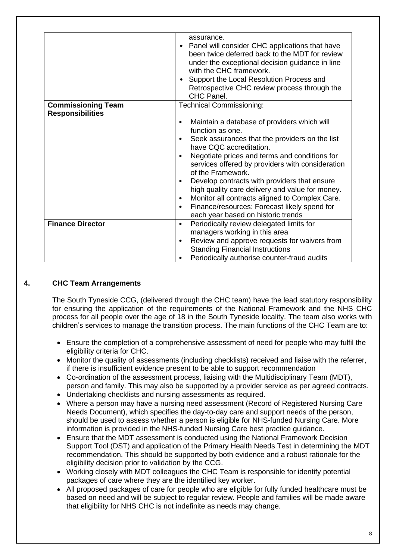|                                                      | assurance.<br>Panel will consider CHC applications that have<br>been twice deferred back to the MDT for review<br>under the exceptional decision guidance in line<br>with the CHC framework.<br>Support the Local Resolution Process and<br>Retrospective CHC review process through the<br>CHC Panel.                                                                                                                                                                                                            |  |  |
|------------------------------------------------------|-------------------------------------------------------------------------------------------------------------------------------------------------------------------------------------------------------------------------------------------------------------------------------------------------------------------------------------------------------------------------------------------------------------------------------------------------------------------------------------------------------------------|--|--|
| <b>Commissioning Team</b><br><b>Responsibilities</b> | <b>Technical Commissioning:</b>                                                                                                                                                                                                                                                                                                                                                                                                                                                                                   |  |  |
|                                                      | Maintain a database of providers which will<br>function as one.<br>Seek assurances that the providers on the list<br>have CQC accreditation.<br>Negotiate prices and terms and conditions for<br>services offered by providers with consideration<br>of the Framework.<br>Develop contracts with providers that ensure<br>high quality care delivery and value for money.<br>Monitor all contracts aligned to Complex Care.<br>Finance/resources: Forecast likely spend for<br>each year based on historic trends |  |  |
| <b>Finance Director</b>                              | Periodically review delegated limits for<br>$\bullet$<br>managers working in this area                                                                                                                                                                                                                                                                                                                                                                                                                            |  |  |
|                                                      | Review and approve requests for waivers from<br>$\bullet$<br><b>Standing Financial Instructions</b><br>Periodically authorise counter-fraud audits                                                                                                                                                                                                                                                                                                                                                                |  |  |

## **4. CHC Team Arrangements**

The South Tyneside CCG, (delivered through the CHC team) have the lead statutory responsibility for ensuring the application of the requirements of the National Framework and the NHS CHC process for all people over the age of 18 in the South Tyneside locality. The team also works with children's services to manage the transition process. The main functions of the CHC Team are to:

- Ensure the completion of a comprehensive assessment of need for people who may fulfil the eligibility criteria for CHC.
- Monitor the quality of assessments (including checklists) received and liaise with the referrer, if there is insufficient evidence present to be able to support recommendation
- Co-ordination of the assessment process, liaising with the Multidisciplinary Team (MDT), person and family. This may also be supported by a provider service as per agreed contracts.
- Undertaking checklists and nursing assessments as required.
- Where a person may have a nursing need assessment (Record of Registered Nursing Care Needs Document), which specifies the day-to-day care and support needs of the person, should be used to assess whether a person is eligible for NHS-funded Nursing Care. More information is provided in the NHS-funded Nursing Care best practice guidance.
- Ensure that the MDT assessment is conducted using the National Framework Decision Support Tool (DST) and application of the Primary Health Needs Test in determining the MDT recommendation. This should be supported by both evidence and a robust rationale for the eligibility decision prior to validation by the CCG.
- Working closely with MDT colleagues the CHC Team is responsible for identify potential packages of care where they are the identified key worker.
- All proposed packages of care for people who are eligible for fully funded healthcare must be based on need and will be subject to regular review. People and families will be made aware that eligibility for NHS CHC is not indefinite as needs may change.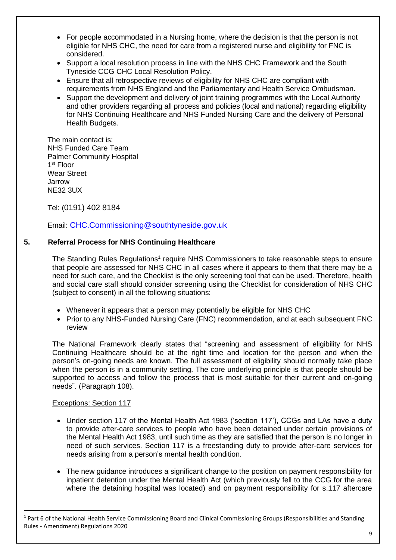- For people accommodated in a Nursing home, where the decision is that the person is not eligible for NHS CHC, the need for care from a registered nurse and eligibility for FNC is considered.
- Support a local resolution process in line with the NHS CHC Framework and the South Tyneside CCG CHC Local Resolution Policy.
- Ensure that all retrospective reviews of eligibility for NHS CHC are compliant with requirements from NHS England and the Parliamentary and Health Service Ombudsman.
- Support the development and delivery of joint training programmes with the Local Authority and other providers regarding all process and policies (local and national) regarding eligibility for NHS Continuing Healthcare and NHS Funded Nursing Care and the delivery of Personal Health Budgets.

The main contact is: NHS Funded Care Team Palmer Community Hospital 1 st Floor Wear Street Jarrow NE32 3UX

Tel: (0191) 402 8184

Email: [CHC.Commissioning@southtyneside.gov.uk](mailto:CHC.Commissioning@southtyneside.gov.uk)

## **5. Referral Process for NHS Continuing Healthcare**

The Standing Rules Regulations<sup>1</sup> require NHS Commissioners to take reasonable steps to ensure that people are assessed for NHS CHC in all cases where it appears to them that there may be a need for such care, and the Checklist is the only screening tool that can be used. Therefore, health and social care staff should consider screening using the Checklist for consideration of NHS CHC (subject to consent) in all the following situations:

- Whenever it appears that a person may potentially be eligible for NHS CHC
- Prior to any NHS-Funded Nursing Care (FNC) recommendation, and at each subsequent FNC review

The National Framework clearly states that "screening and assessment of eligibility for NHS Continuing Healthcare should be at the right time and location for the person and when the person's on-going needs are known. The full assessment of eligibility should normally take place when the person is in a community setting. The core underlying principle is that people should be supported to access and follow the process that is most suitable for their current and on-going needs". (Paragraph 108).

#### Exceptions: Section 117

- Under section 117 of the Mental Health Act 1983 ('section 117'), CCGs and LAs have a duty to provide after-care services to people who have been detained under certain provisions of the Mental Health Act 1983, until such time as they are satisfied that the person is no longer in need of such services. Section 117 is a freestanding duty to provide after-care services for needs arising from a person's mental health condition.
- The new guidance introduces a significant change to the position on payment responsibility for inpatient detention under the Mental Health Act (which previously fell to the CCG for the area where the detaining hospital was located) and on payment responsibility for s.117 aftercare

<sup>&</sup>lt;sup>1</sup> Part 6 of the National Health Service Commissioning Board and Clinical Commissioning Groups (Responsibilities and Standing Rules - Amendment) Regulations 2020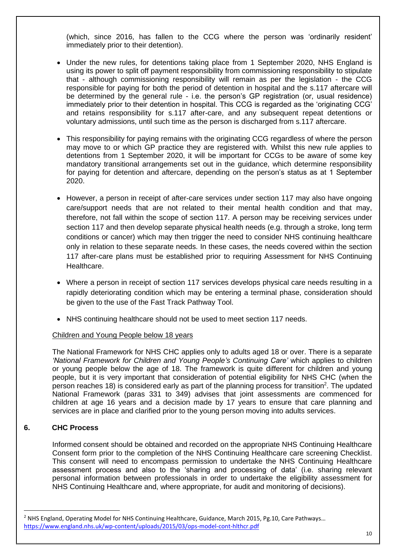(which, since 2016, has fallen to the CCG where the person was 'ordinarily resident' immediately prior to their detention).

- Under the new rules, for detentions taking place from 1 September 2020, NHS England is using its power to split off payment responsibility from commissioning responsibility to stipulate that - although commissioning responsibility will remain as per the legislation - the CCG responsible for paying for both the period of detention in hospital and the s.117 aftercare will be determined by the general rule - i.e. the person's GP registration (or, usual residence) immediately prior to their detention in hospital. This CCG is regarded as the 'originating CCG' and retains responsibility for s.117 after-care, and any subsequent repeat detentions or voluntary admissions, until such time as the person is discharged from s.117 aftercare.
- This responsibility for paying remains with the originating CCG regardless of where the person may move to or which GP practice they are registered with. Whilst this new rule applies to detentions from 1 September 2020, it will be important for CCGs to be aware of some key mandatory transitional arrangements set out in the guidance, which determine responsibility for paying for detention and aftercare, depending on the person's status as at 1 September 2020.
- However, a person in receipt of after-care services under section 117 may also have ongoing care/support needs that are not related to their mental health condition and that may, therefore, not fall within the scope of section 117. A person may be receiving services under section 117 and then develop separate physical health needs (e.g. through a stroke, long term conditions or cancer) which may then trigger the need to consider NHS continuing healthcare only in relation to these separate needs. In these cases, the needs covered within the section 117 after-care plans must be established prior to requiring Assessment for NHS Continuing Healthcare.
- Where a person in receipt of section 117 services develops physical care needs resulting in a rapidly deteriorating condition which may be entering a terminal phase, consideration should be given to the use of the Fast Track Pathway Tool.
- NHS continuing healthcare should not be used to meet section 117 needs.

#### Children and Young People below 18 years

The National Framework for NHS CHC applies only to adults aged 18 or over. There is a separate 'National Framework for Children and Young People's Continuing Care' which applies to children or young people below the age of 18. The framework is quite different for children and young people, but it is very important that consideration of potential eligibility for NHS CHC (when the person reaches 18) is considered early as part of the planning process for transition<sup>2</sup>. The updated National Framework (paras 331 to 349) advises that joint assessments are commenced for children at age 16 years and a decision made by 17 years to ensure that care planning and services are in place and clarified prior to the young person moving into adults services.

## **6. CHC Process**

Informed consent should be obtained and recorded on the appropriate NHS Continuing Healthcare Consent form prior to the completion of the NHS Continuing Healthcare care screening Checklist. This consent will need to encompass permission to undertake the NHS Continuing Healthcare assessment process and also to the 'sharing and processing of data' (i.e. sharing relevant personal information between professionals in order to undertake the eligibility assessment for NHS Continuing Healthcare and, where appropriate, for audit and monitoring of decisions).

<sup>&</sup>lt;sup>2</sup> NHS England, Operating Model for NHS Continuing Healthcare, Guidance, March 2015, Pg.10, Care Pathways... <https://www.england.nhs.uk/wp-content/uploads/2015/03/ops-model-cont-hlthcr.pdf>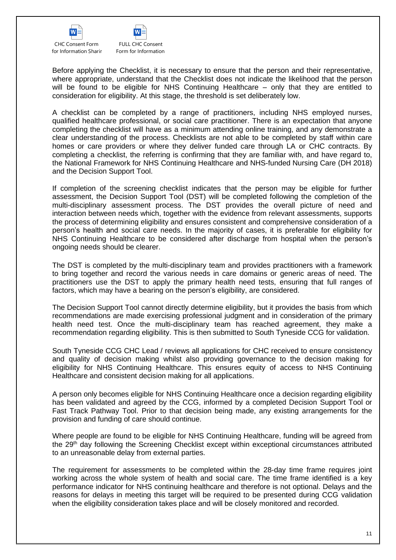



Before applying the Checklist, it is necessary to ensure that the person and their representative, where appropriate, understand that the Checklist does not indicate the likelihood that the person will be found to be eligible for NHS Continuing Healthcare – only that they are entitled to consideration for eligibility. At this stage, the threshold is set deliberately low.

A checklist can be completed by a range of practitioners, including NHS employed nurses, qualified healthcare professional, or social care practitioner. There is an expectation that anyone completing the checklist will have as a minimum attending online training, and any demonstrate a clear understanding of the process. Checklists are not able to be completed by staff within care homes or care providers or where they deliver funded care through LA or CHC contracts. By completing a checklist, the referring is confirming that they are familiar with, and have regard to, the National Framework for NHS Continuing Healthcare and NHS-funded Nursing Care (DH 2018) and the Decision Support Tool.

If completion of the screening checklist indicates that the person may be eligible for further assessment, the Decision Support Tool (DST) will be completed following the completion of the multi-disciplinary assessment process. The DST provides the overall picture of need and interaction between needs which, together with the evidence from relevant assessments, supports the process of determining eligibility and ensures consistent and comprehensive consideration of a person's health and social care needs. In the majority of cases, it is preferable for eligibility for NHS Continuing Healthcare to be considered after discharge from hospital when the person's ongoing needs should be clearer.

The DST is completed by the multi-disciplinary team and provides practitioners with a framework to bring together and record the various needs in care domains or generic areas of need. The practitioners use the DST to apply the primary health need tests, ensuring that full ranges of factors, which may have a bearing on the person's eligibility, are considered.

The Decision Support Tool cannot directly determine eligibility, but it provides the basis from which recommendations are made exercising professional judgment and in consideration of the primary health need test. Once the multi-disciplinary team has reached agreement, they make a recommendation regarding eligibility. This is then submitted to South Tyneside CCG for validation.

South Tyneside CCG CHC Lead / reviews all applications for CHC received to ensure consistency and quality of decision making whilst also providing governance to the decision making for eligibility for NHS Continuing Healthcare. This ensures equity of access to NHS Continuing Healthcare and consistent decision making for all applications.

A person only becomes eligible for NHS Continuing Healthcare once a decision regarding eligibility has been validated and agreed by the CCG, informed by a completed Decision Support Tool or Fast Track Pathway Tool. Prior to that decision being made, any existing arrangements for the provision and funding of care should continue.

Where people are found to be eligible for NHS Continuing Healthcare, funding will be agreed from the 29th day following the Screening Checklist except within exceptional circumstances attributed to an unreasonable delay from external parties.

The requirement for assessments to be completed within the 28-day time frame requires joint working across the whole system of health and social care. The time frame identified is a key performance indicator for NHS continuing healthcare and therefore is not optional. Delays and the reasons for delays in meeting this target will be required to be presented during CCG validation when the eligibility consideration takes place and will be closely monitored and recorded.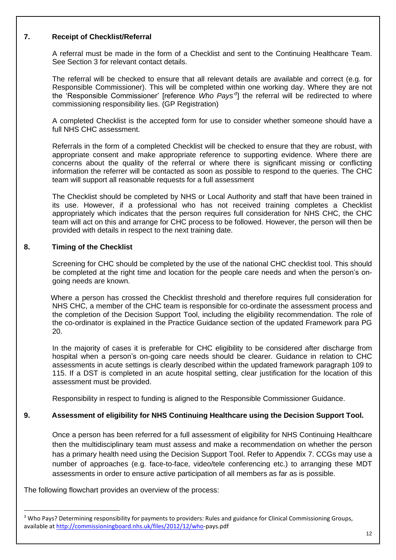## **7. Receipt of Checklist/Referral**

A referral must be made in the form of a Checklist and sent to the Continuing Healthcare Team. See Section 3 for relevant contact details.

The referral will be checked to ensure that all relevant details are available and correct (e.g. for Responsible Commissioner). This will be completed within one working day. Where they are not the 'Responsible Commissioner' [reference *Who Pays<sup>3</sup>*] the referral will be redirected to where commissioning responsibility lies. (GP Registration)

A completed Checklist is the accepted form for use to consider whether someone should have a full NHS CHC assessment.

Referrals in the form of a completed Checklist will be checked to ensure that they are robust, with appropriate consent and make appropriate reference to supporting evidence. Where there are concerns about the quality of the referral or where there is significant missing or conflicting information the referrer will be contacted as soon as possible to respond to the queries. The CHC team will support all reasonable requests for a full assessment

The Checklist should be completed by NHS or Local Authority and staff that have been trained in its use. However, if a professional who has not received training completes a Checklist appropriately which indicates that the person requires full consideration for NHS CHC, the CHC team will act on this and arrange for CHC process to be followed. However, the person will then be provided with details in respect to the next training date.

## **8. Timing of the Checklist**

Screening for CHC should be completed by the use of the national CHC checklist tool. This should be completed at the right time and location for the people care needs and when the person's ongoing needs are known.

 Where a person has crossed the Checklist threshold and therefore requires full consideration for NHS CHC, a member of the CHC team is responsible for co-ordinate the assessment process and the completion of the Decision Support Tool, including the eligibility recommendation. The role of the co-ordinator is explained in the Practice Guidance section of the updated Framework para PG 20.

In the majority of cases it is preferable for CHC eligibility to be considered after discharge from hospital when a person's on-going care needs should be clearer. Guidance in relation to CHC assessments in acute settings is clearly described within the updated framework paragraph 109 to 115. If a DST is completed in an acute hospital setting, clear justification for the location of this assessment must be provided.

Responsibility in respect to funding is aligned to the Responsible Commissioner Guidance.

## **9. Assessment of eligibility for NHS Continuing Healthcare using the Decision Support Tool.**

Once a person has been referred for a full assessment of eligibility for NHS Continuing Healthcare then the multidisciplinary team must assess and make a recommendation on whether the person has a primary health need using the Decision Support Tool. Refer to Appendix 7. CCGs may use a number of approaches (e.g. face-to-face, video/tele conferencing etc.) to arranging these MDT assessments in order to ensure active participation of all members as far as is possible.

The following flowchart provides an overview of the process:

<sup>&</sup>lt;sup>3</sup> Who Pays? Determining responsibility for payments to providers: Rules and guidance for Clinical Commissioning Groups, available a[t http://commissioningboard.nhs.uk/files/2012/12/who-](http://commissioningboard.nhs.uk/files/2012/12/who)pays.pdf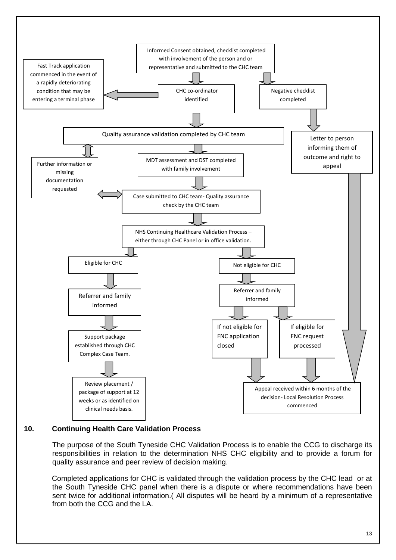

#### **10. Continuing Health Care Validation Process**

The purpose of the South Tyneside CHC Validation Process is to enable the CCG to discharge its responsibilities in relation to the determination NHS CHC eligibility and to provide a forum for quality assurance and peer review of decision making.

Completed applications for CHC is validated through the validation process by the CHC lead or at the South Tyneside CHC panel when there is a dispute or where recommendations have been sent twice for additional information.( All disputes will be heard by a minimum of a representative from both the CCG and the LA.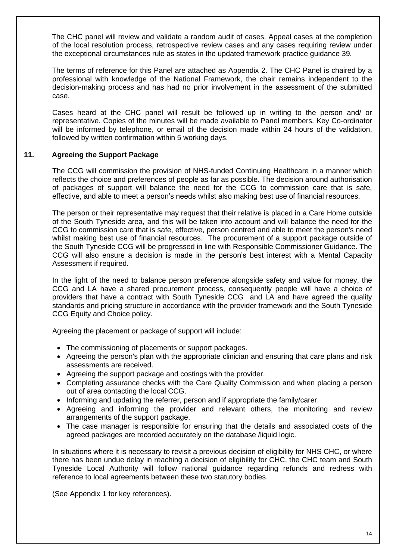The CHC panel will review and validate a random audit of cases. Appeal cases at the completion of the local resolution process, retrospective review cases and any cases requiring review under the exceptional circumstances rule as states in the updated framework practice guidance 39.

The terms of reference for this Panel are attached as Appendix 2. The CHC Panel is chaired by a professional with knowledge of the National Framework, the chair remains independent to the decision-making process and has had no prior involvement in the assessment of the submitted case.

Cases heard at the CHC panel will result be followed up in writing to the person and/ or representative. Copies of the minutes will be made available to Panel members. Key Co-ordinator will be informed by telephone, or email of the decision made within 24 hours of the validation, followed by written confirmation within 5 working days.

#### **11. Agreeing the Support Package**

The CCG will commission the provision of NHS-funded Continuing Healthcare in a manner which reflects the choice and preferences of people as far as possible. The decision around authorisation of packages of support will balance the need for the CCG to commission care that is safe, effective, and able to meet a person's needs whilst also making best use of financial resources.

The person or their representative may request that their relative is placed in a Care Home outside of the South Tyneside area, and this will be taken into account and will balance the need for the CCG to commission care that is safe, effective, person centred and able to meet the person's need whilst making best use of financial resources. The procurement of a support package outside of the South Tyneside CCG will be progressed in line with Responsible Commissioner Guidance. The CCG will also ensure a decision is made in the person's best interest with a Mental Capacity Assessment if required.

In the light of the need to balance person preference alongside safety and value for money, the CCG and LA have a shared procurement process, consequently people will have a choice of providers that have a contract with South Tyneside CCG and LA and have agreed the quality standards and pricing structure in accordance with the provider framework and the South Tyneside CCG Equity and Choice policy.

Agreeing the placement or package of support will include:

- The commissioning of placements or support packages.
- Agreeing the person's plan with the appropriate clinician and ensuring that care plans and risk assessments are received.
- Agreeing the support package and costings with the provider.
- Completing assurance checks with the Care Quality Commission and when placing a person out of area contacting the local CCG.
- Informing and updating the referrer, person and if appropriate the family/carer.
- Agreeing and informing the provider and relevant others, the monitoring and review arrangements of the support package.
- The case manager is responsible for ensuring that the details and associated costs of the agreed packages are recorded accurately on the database /liquid logic.

In situations where it is necessary to revisit a previous decision of eligibility for NHS CHC, or where there has been undue delay in reaching a decision of eligibility for CHC, the CHC team and South Tyneside Local Authority will follow national guidance regarding refunds and redress with reference to local agreements between these two statutory bodies.

(See Appendix 1 for key references).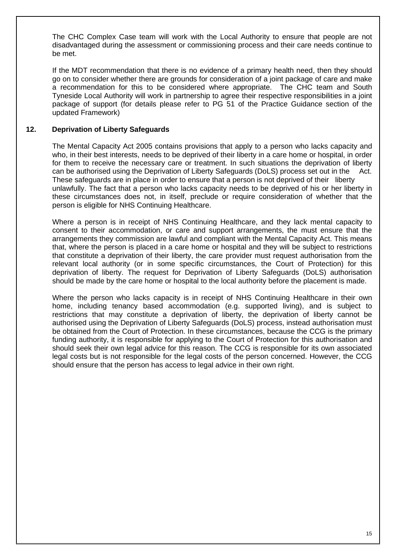The CHC Complex Case team will work with the Local Authority to ensure that people are not disadvantaged during the assessment or commissioning process and their care needs continue to be met.

If the MDT recommendation that there is no evidence of a primary health need, then they should go on to consider whether there are grounds for consideration of a joint package of care and make a recommendation for this to be considered where appropriate. The CHC team and South Tyneside Local Authority will work in partnership to agree their respective responsibilities in a joint package of support (for details please refer to PG 51 of the Practice Guidance section of the updated Framework)

## **12. Deprivation of Liberty Safeguards**

The Mental Capacity Act 2005 contains provisions that apply to a person who lacks capacity and who, in their best interests, needs to be deprived of their liberty in a care home or hospital, in order for them to receive the necessary care or treatment. In such situations the deprivation of liberty can be authorised using the Deprivation of Liberty Safeguards (DoLS) process set out in the Act. These safeguards are in place in order to ensure that a person is not deprived of their liberty unlawfully. The fact that a person who lacks capacity needs to be deprived of his or her liberty in these circumstances does not, in itself, preclude or require consideration of whether that the person is eligible for NHS Continuing Healthcare.

Where a person is in receipt of NHS Continuing Healthcare, and they lack mental capacity to consent to their accommodation, or care and support arrangements, the must ensure that the arrangements they commission are lawful and compliant with the Mental Capacity Act. This means that, where the person is placed in a care home or hospital and they will be subject to restrictions that constitute a deprivation of their liberty, the care provider must request authorisation from the relevant local authority (or in some specific circumstances, the Court of Protection) for this deprivation of liberty. The request for Deprivation of Liberty Safeguards (DoLS) authorisation should be made by the care home or hospital to the local authority before the placement is made.

Where the person who lacks capacity is in receipt of NHS Continuing Healthcare in their own home, including tenancy based accommodation (e.g. supported living), and is subject to restrictions that may constitute a deprivation of liberty, the deprivation of liberty cannot be authorised using the Deprivation of Liberty Safeguards (DoLS) process, instead authorisation must be obtained from the Court of Protection. In these circumstances, because the CCG is the primary funding authority, it is responsible for applying to the Court of Protection for this authorisation and should seek their own legal advice for this reason. The CCG is responsible for its own associated legal costs but is not responsible for the legal costs of the person concerned. However, the CCG should ensure that the person has access to legal advice in their own right.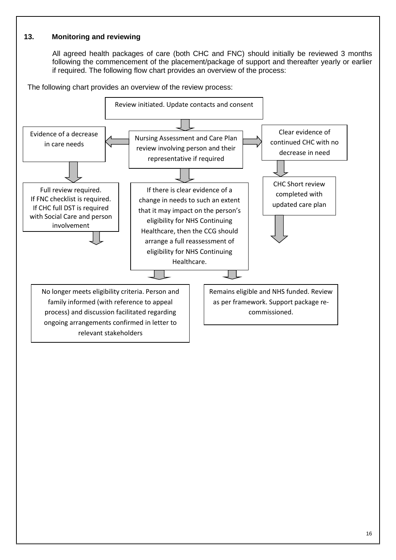## **13. Monitoring and reviewing**

All agreed health packages of care (both CHC and FNC) should initially be reviewed 3 months following the commencement of the placement/package of support and thereafter yearly or earlier if required. The following flow chart provides an overview of the process:



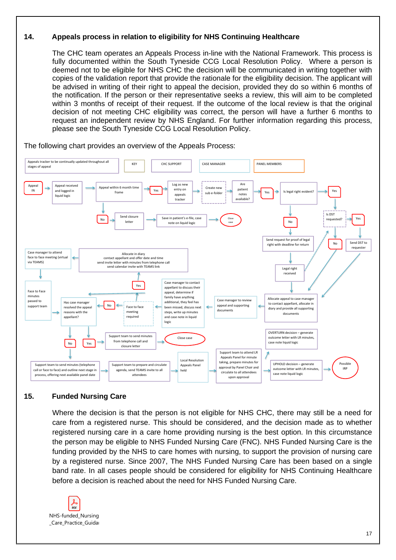## **14. Appeals process in relation to eligibility for NHS Continuing Healthcare**

The CHC team operates an Appeals Process in-line with the National Framework. This process is fully documented within the South Tyneside CCG Local Resolution Policy. Where a person is deemed not to be eligible for NHS CHC the decision will be communicated in writing together with copies of the validation report that provide the rationale for the eligibility decision. The applicant will be advised in writing of their right to appeal the decision, provided they do so within 6 months of the notification. If the person or their representative seeks a review, this will aim to be completed within 3 months of receipt of their request. If the outcome of the local review is that the original decision of not meeting CHC eligibility was correct, the person will have a further 6 months to request an independent review by NHS England. For further information regarding this process, please see the South Tyneside CCG Local Resolution Policy.

CASE MANAGER Case manager to review appeal and supporting documents Close case Appeal within 6 month time frame CHC SUPPORT Allocate appeal to case manager to contact appellant, allocate in diary and provide all supporting documents Appeal IN Yes No Send closure letter Appeal received and logged in liquid logic Are patient notes available? Save in patient's e-file, case note on liquid logic KEY Log as new entry on appeals tracker Yes Create new  $\begin{array}{ccc} \text{Create new} \\ \text{sub e-folder} \end{array} \rightarrow \begin{array}{ccc} \text{patient} \\ \text{noter} \end{array} \rightarrow \begin{array}{ccc} \text{Yes} \\ \text{Yes} \end{array} \rightarrow \begin{array}{ccc} \text{Is legal right evident?} \end{array} \rightarrow \begin{array}{ccc} \text{Yes} \\ \end{array}$ No Is DST requested?  $\rightarrow$  Yes No Send request for proof of legal Send request for proof of legal No Send DST to requester Legal right received Case manager to contact appellant to discuss their appeal, determine if family have anything additional, they feel has been missed, discuss next steps, write up minutes and case note in liquid logic Face to face meeting required Yes No Allocate in diary contact appellant and offer date and time send invite letter with minutes from telephone call send calendar invite with TEAMS link Case manager to attend face to face meeting (virtual via TEAMS) Has case manage resolved the appeal reasons with the appellant? Face to Face minutes passed to support team No | Yes Support team to send minutes from telephone call and closure letter Support team to send minutes (telephone call or face to face) and outline next stage in process, offering next available panel date Support team to prepare and circulate agenda, send TEAMS invite to all attendees Local Resolution Appeals Panel held Support team to attend LR Appeals Panel for minute taking, prepare minutes for approval by Panel Chair and circulate to all attendees upon approval OVERTURN decision – generate outcome letter with LR minutes, case note liquid logic Close case Possible IRP UPHOLD decision – generate outcome letter with LR minutes, case note liquid logic Appeals tracker to be continually updated throughout all stages of appeal PANEL MEMBERS

#### The following chart provides an overview of the Appeals Process:

## **15. Funded Nursing Care**

Where the decision is that the person is not eligible for NHS CHC, there may still be a need for care from a registered nurse. This should be considered, and the decision made as to whether registered nursing care in a care home providing nursing is the best option. In this circumstance the person may be eligible to NHS Funded Nursing Care (FNC). NHS Funded Nursing Care is the funding provided by the NHS to care homes with nursing, to support the provision of nursing care by a registered nurse. Since 2007, The NHS Funded Nursing Care has been based on a single band rate. In all cases people should be considered for eligibility for NHS Continuing Healthcare before a decision is reached about the need for NHS Funded Nursing Care.

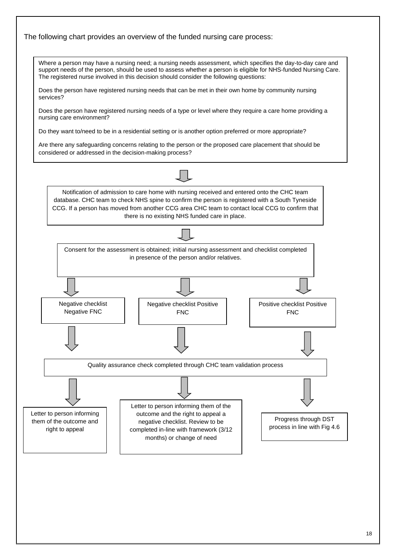

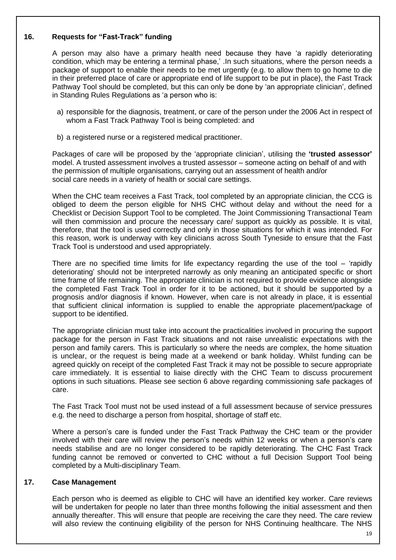### **16. Requests for "Fast-Track" funding**

A person may also have a primary health need because they have 'a rapidly deteriorating condition, which may be entering a terminal phase,' .In such situations, where the person needs a package of support to enable their needs to be met urgently (e.g. to allow them to go home to die in their preferred place of care or appropriate end of life support to be put in place), the Fast Track Pathway Tool should be completed, but this can only be done by 'an appropriate clinician', defined in Standing Rules Regulations as 'a person who is:

- a) responsible for the diagnosis, treatment, or care of the person under the 2006 Act in respect of whom a Fast Track Pathway Tool is being completed: and
- b) a registered nurse or a registered medical practitioner.

Packages of care will be proposed by the 'appropriate clinician', utilising the **'trusted assessor'** model. A trusted assessment involves a trusted assessor – someone acting on behalf of and with the permission of multiple organisations, carrying out an assessment of health and/or social care needs in a variety of health or social care settings.

When the CHC team receives a Fast Track, tool completed by an appropriate clinician, the CCG is obliged to deem the person eligible for NHS CHC without delay and without the need for a Checklist or Decision Support Tool to be completed. The Joint Commissioning Transactional Team will then commission and procure the necessary care/ support as quickly as possible. It is vital, therefore, that the tool is used correctly and only in those situations for which it was intended. For this reason, work is underway with key clinicians across South Tyneside to ensure that the Fast Track Tool is understood and used appropriately.

There are no specified time limits for life expectancy regarding the use of the tool – 'rapidly deteriorating' should not be interpreted narrowly as only meaning an anticipated specific or short time frame of life remaining. The appropriate clinician is not required to provide evidence alongside the completed Fast Track Tool in order for it to be actioned, but it should be supported by a prognosis and/or diagnosis if known. However, when care is not already in place, it is essential that sufficient clinical information is supplied to enable the appropriate placement/package of support to be identified.

The appropriate clinician must take into account the practicalities involved in procuring the support package for the person in Fast Track situations and not raise unrealistic expectations with the person and family carers. This is particularly so where the needs are complex, the home situation is unclear, or the request is being made at a weekend or bank holiday. Whilst funding can be agreed quickly on receipt of the completed Fast Track it may not be possible to secure appropriate care immediately. It is essential to liaise directly with the CHC Team to discuss procurement options in such situations. Please see section 6 above regarding commissioning safe packages of care.

The Fast Track Tool must not be used instead of a full assessment because of service pressures e.g. the need to discharge a person from hospital, shortage of staff etc.

Where a person's care is funded under the Fast Track Pathway the CHC team or the provider involved with their care will review the person's needs within 12 weeks or when a person's care needs stabilise and are no longer considered to be rapidly deteriorating. The CHC Fast Track funding cannot be removed or converted to CHC without a full Decision Support Tool being completed by a Multi-disciplinary Team.

#### **17. Case Management**

Each person who is deemed as eligible to CHC will have an identified key worker. Care reviews will be undertaken for people no later than three months following the initial assessment and then annually thereafter. This will ensure that people are receiving the care they need. The care review will also review the continuing eligibility of the person for NHS Continuing healthcare. The NHS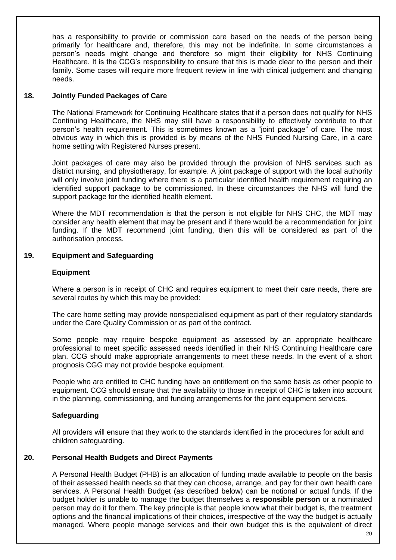has a responsibility to provide or commission care based on the needs of the person being primarily for healthcare and, therefore, this may not be indefinite. In some circumstances a person's needs might change and therefore so might their eligibility for NHS Continuing Healthcare. It is the CCG's responsibility to ensure that this is made clear to the person and their family. Some cases will require more frequent review in line with clinical judgement and changing needs.

### **18. Jointly Funded Packages of Care**

The National Framework for Continuing Healthcare states that if a person does not qualify for NHS Continuing Healthcare, the NHS may still have a responsibility to effectively contribute to that person's health requirement. This is sometimes known as a "joint package" of care. The most obvious way in which this is provided is by means of the NHS Funded Nursing Care, in a care home setting with Registered Nurses present.

Joint packages of care may also be provided through the provision of NHS services such as district nursing, and physiotherapy, for example. A joint package of support with the local authority will only involve joint funding where there is a particular identified health requirement requiring an identified support package to be commissioned. In these circumstances the NHS will fund the support package for the identified health element.

Where the MDT recommendation is that the person is not eligible for NHS CHC, the MDT may consider any health element that may be present and if there would be a recommendation for joint funding. If the MDT recommend joint funding, then this will be considered as part of the authorisation process.

## **19. Equipment and Safeguarding**

#### **Equipment**

Where a person is in receipt of CHC and requires equipment to meet their care needs, there are several routes by which this may be provided:

The care home setting may provide nonspecialised equipment as part of their regulatory standards under the Care Quality Commission or as part of the contract.

Some people may require bespoke equipment as assessed by an appropriate healthcare professional to meet specific assessed needs identified in their NHS Continuing Healthcare care plan. CCG should make appropriate arrangements to meet these needs. In the event of a short prognosis CGG may not provide bespoke equipment.

People who are entitled to CHC funding have an entitlement on the same basis as other people to equipment. CCG should ensure that the availability to those in receipt of CHC is taken into account in the planning, commissioning, and funding arrangements for the joint equipment services.

#### **Safeguarding**

All providers will ensure that they work to the standards identified in the procedures for adult and children safeguarding.

## **20. Personal Health Budgets and Direct Payments**

A Personal Health Budget (PHB) is an allocation of funding made available to people on the basis of their assessed health needs so that they can choose, arrange, and pay for their own health care services. A Personal Health Budget (as described below) can be notional or actual funds. If the budget holder is unable to manage the budget themselves a **responsible person** or a nominated person may do it for them. The key principle is that people know what their budget is, the treatment options and the financial implications of their choices, irrespective of the way the budget is actually managed. Where people manage services and their own budget this is the equivalent of direct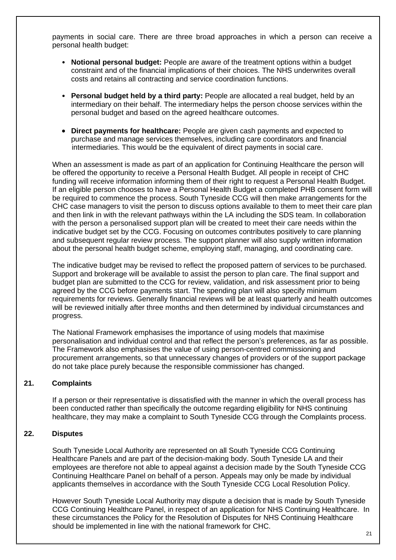payments in social care. There are three broad approaches in which a person can receive a personal health budget:

- **Notional personal budget:** People are aware of the treatment options within a budget constraint and of the financial implications of their choices. The NHS underwrites overall costs and retains all contracting and service coordination functions.
- **Personal budget held by a third party:** People are allocated a real budget, held by an intermediary on their behalf. The intermediary helps the person choose services within the personal budget and based on the agreed healthcare outcomes.
- **Direct payments for healthcare:** People are given cash payments and expected to purchase and manage services themselves, including care coordinators and financial intermediaries. This would be the equivalent of direct payments in social care.

When an assessment is made as part of an application for Continuing Healthcare the person will be offered the opportunity to receive a Personal Health Budget. All people in receipt of CHC funding will receive information informing them of their right to request a Personal Health Budget. If an eligible person chooses to have a Personal Health Budget a completed PHB consent form will be required to commence the process. South Tyneside CCG will then make arrangements for the CHC case managers to visit the person to discuss options available to them to meet their care plan and then link in with the relevant pathways within the LA including the SDS team. In collaboration with the person a personalised support plan will be created to meet their care needs within the indicative budget set by the CCG. Focusing on outcomes contributes positively to care planning and subsequent regular review process. The support planner will also supply written information about the personal health budget scheme, employing staff, managing, and coordinating care.

The indicative budget may be revised to reflect the proposed pattern of services to be purchased. Support and brokerage will be available to assist the person to plan care. The final support and budget plan are submitted to the CCG for review, validation, and risk assessment prior to being agreed by the CCG before payments start. The spending plan will also specify minimum requirements for reviews. Generally financial reviews will be at least quarterly and health outcomes will be reviewed initially after three months and then determined by individual circumstances and progress.

The National Framework emphasises the importance of using models that maximise personalisation and individual control and that reflect the person's preferences, as far as possible. The Framework also emphasises the value of using person-centred commissioning and procurement arrangements, so that unnecessary changes of providers or of the support package do not take place purely because the responsible commissioner has changed.

## **21. Complaints**

If a person or their representative is dissatisfied with the manner in which the overall process has been conducted rather than specifically the outcome regarding eligibility for NHS continuing healthcare, they may make a complaint to South Tyneside CCG through the Complaints process.

## **22. Disputes**

South Tyneside Local Authority are represented on all South Tyneside CCG Continuing Healthcare Panels and are part of the decision-making body. South Tyneside LA and their employees are therefore not able to appeal against a decision made by the South Tyneside CCG Continuing Healthcare Panel on behalf of a person. Appeals may only be made by individual applicants themselves in accordance with the South Tyneside CCG Local Resolution Policy.

However South Tyneside Local Authority may dispute a decision that is made by South Tyneside CCG Continuing Healthcare Panel, in respect of an application for NHS Continuing Healthcare. In these circumstances the Policy for the Resolution of Disputes for NHS Continuing Healthcare should be implemented in line with the national framework for CHC.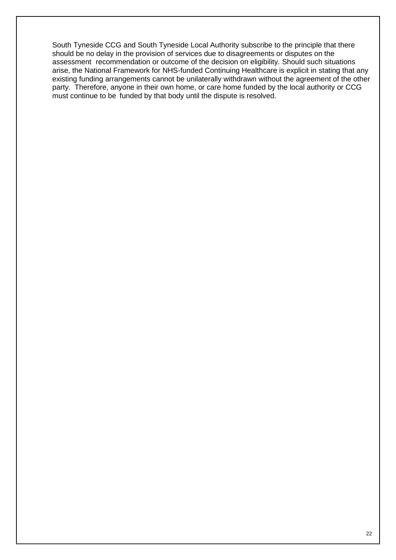South Tyneside CCG and South Tyneside Local Authority subscribe to the principle that there should be no delay in the provision of services due to disagreements or disputes on the assessment recommendation or outcome of the decision on eligibility. Should such situations arise, the National Framework for NHS-funded Continuing Healthcare is explicit in stating that any existing funding arrangements cannot be unilaterally withdrawn without the agreement of the other party. Therefore, anyone in their own home, or care home funded by the local authority or CCG must continue to be funded by that body until the dispute is resolved.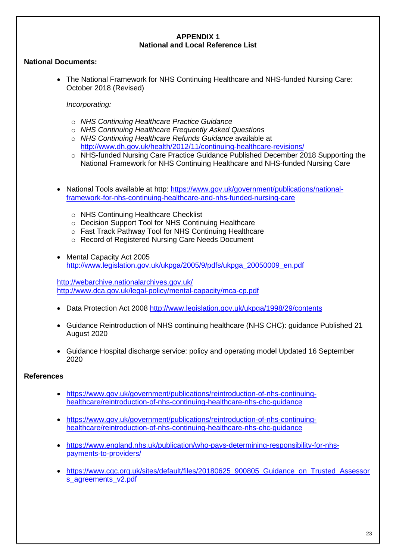### **APPENDIX 1 National and Local Reference List**

## **National Documents:**

• The National Framework for NHS Continuing Healthcare and NHS-funded Nursing Care: October 2018 (Revised)

#### *Incorporating:*

- o *NHS Continuing Healthcare Practice Guidance*
- o *NHS Continuing Healthcare Frequently Asked Questions*
- o *NHS Continuing Healthcare Refunds Guidance* available at <http://www.dh.gov.uk/health/2012/11/continuing-healthcare-revisions/>
- o NHS-funded Nursing Care Practice Guidance Published December 2018 Supporting the National Framework for NHS Continuing Healthcare and NHS-funded Nursing Care
- National Tools available at http: [https://www.gov.uk/government/publications/national](https://www.gov.uk/government/publications/national-framework-for-nhs-continuing-healthcare-and-nhs-funded-nursing-care)[framework-for-nhs-continuing-healthcare-and-nhs-funded-nursing-care](https://www.gov.uk/government/publications/national-framework-for-nhs-continuing-healthcare-and-nhs-funded-nursing-care)
	- o NHS Continuing Healthcare Checklist
	- o Decision Support Tool for NHS Continuing Healthcare
	- o Fast Track Pathway Tool for NHS Continuing Healthcare
	- o Record of Registered Nursing Care Needs Document
- Mental Capacity Act 2005 [http://www.legislation.gov.uk/ukpga/2005/9/pdfs/ukpga\\_20050009\\_en.pdf](http://www.legislation.gov.uk/ukpga/2005/9/pdfs/ukpga_20050009_en.pdf)

<http://webarchive.nationalarchives.gov.uk/> <http://www.dca.gov.uk/legal-policy/mental-capacity/mca-cp.pdf>

- Data Protection Act 2008<http://www.legislation.gov.uk/ukpga/1998/29/contents>
- Guidance Reintroduction of NHS continuing healthcare (NHS CHC): quidance Published 21 August 2020
- Guidance Hospital discharge service: policy and operating model Updated 16 September 2020

## **References**

- [https://www.gov.uk/government/publications/reintroduction-of-nhs-continuing](https://www.gov.uk/government/publications/reintroduction-of-nhs-continuing-healthcare/reintroduction-of-nhs-continuing-healthcare-nhs-chc-guidance)[healthcare/reintroduction-of-nhs-continuing-healthcare-nhs-chc-guidance](https://www.gov.uk/government/publications/reintroduction-of-nhs-continuing-healthcare/reintroduction-of-nhs-continuing-healthcare-nhs-chc-guidance)
- [https://www.gov.uk/government/publications/reintroduction-of-nhs-continuing](https://www.gov.uk/government/publications/reintroduction-of-nhs-continuing-healthcare/reintroduction-of-nhs-continuing-healthcare-nhs-chc-guidance)[healthcare/reintroduction-of-nhs-continuing-healthcare-nhs-chc-guidance](https://www.gov.uk/government/publications/reintroduction-of-nhs-continuing-healthcare/reintroduction-of-nhs-continuing-healthcare-nhs-chc-guidance)
- [https://www.england.nhs.uk/publication/who-pays-determining-responsibility-for-nhs](https://www.england.nhs.uk/publication/who-pays-determining-responsibility-for-nhs-payments-to-providers/)[payments-to-providers/](https://www.england.nhs.uk/publication/who-pays-determining-responsibility-for-nhs-payments-to-providers/)
- [https://www.cqc.org.uk/sites/default/files/20180625\\_900805\\_Guidance\\_on\\_Trusted\\_Assessor](https://www.cqc.org.uk/sites/default/files/20180625_900805_Guidance_on_Trusted_Assessors_agreements_v2.pdf) [s\\_agreements\\_v2.pdf](https://www.cqc.org.uk/sites/default/files/20180625_900805_Guidance_on_Trusted_Assessors_agreements_v2.pdf)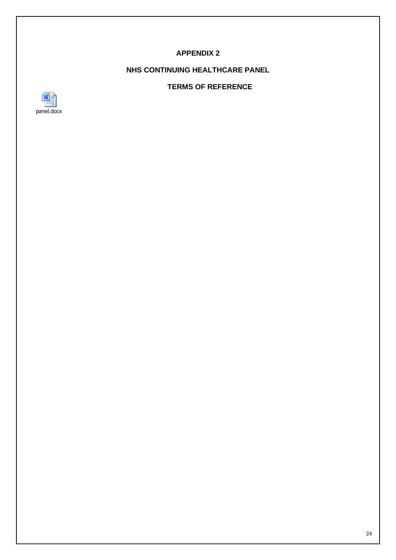## **APPENDIX 2**

## **NHS CONTINUING HEALTHCARE PANEL**

## **TERMS OF REFERENCE**

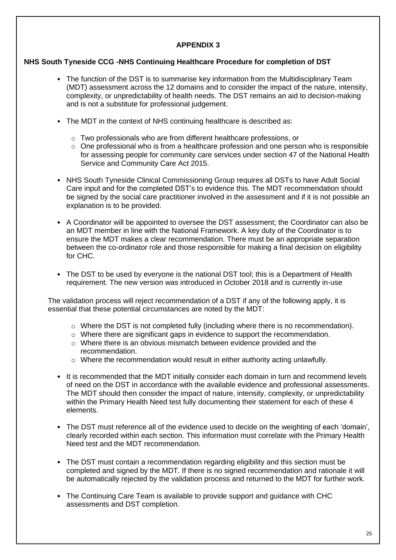## **APPENDIX 3**

## **NHS South Tyneside CCG -NHS Continuing Healthcare Procedure for completion of DST**

- The function of the DST is to summarise key information from the Multidisciplinary Team (MDT) assessment across the 12 domains and to consider the impact of the nature, intensity, complexity, or unpredictability of health needs. The DST remains an aid to decision-making and is not a substitute for professional judgement.
- The MDT in the context of NHS continuing healthcare is described as:
	- o Two professionals who are from different healthcare professions, or
	- $\circ$  One professional who is from a healthcare profession and one person who is responsible for assessing people for community care services under section 47 of the National Health Service and Community Care Act 2015.
- NHS South Tyneside Clinical Commissioning Group requires all DSTs to have Adult Social Care input and for the completed DST's to evidence this. The MDT recommendation should be signed by the social care practitioner involved in the assessment and if it is not possible an explanation is to be provided.
- A Coordinator will be appointed to oversee the DST assessment; the Coordinator can also be an MDT member in line with the National Framework. A key duty of the Coordinator is to ensure the MDT makes a clear recommendation. There must be an appropriate separation between the co-ordinator role and those responsible for making a final decision on eligibility for CHC.
- The DST to be used by everyone is the national DST tool; this is a Department of Health requirement. The new version was introduced in October 2018 and is currently in-use

The validation process will reject recommendation of a DST if any of the following apply, it is essential that these potential circumstances are noted by the MDT:

- $\circ$  Where the DST is not completed fully (including where there is no recommendation).
- $\circ$  Where there are significant gaps in evidence to support the recommendation.
- o Where there is an obvious mismatch between evidence provided and the recommendation.
- o Where the recommendation would result in either authority acting unlawfully.
- It is recommended that the MDT initially consider each domain in turn and recommend levels of need on the DST in accordance with the available evidence and professional assessments. The MDT should then consider the impact of nature, intensity, complexity, or unpredictability within the Primary Health Need test fully documenting their statement for each of these 4 elements.
- The DST must reference all of the evidence used to decide on the weighting of each 'domain', clearly recorded within each section. This information must correlate with the Primary Health Need test and the MDT recommendation.
- The DST must contain a recommendation regarding eligibility and this section must be completed and signed by the MDT. If there is no signed recommendation and rationale it will be automatically rejected by the validation process and returned to the MDT for further work.
- The Continuing Care Team is available to provide support and guidance with CHC assessments and DST completion.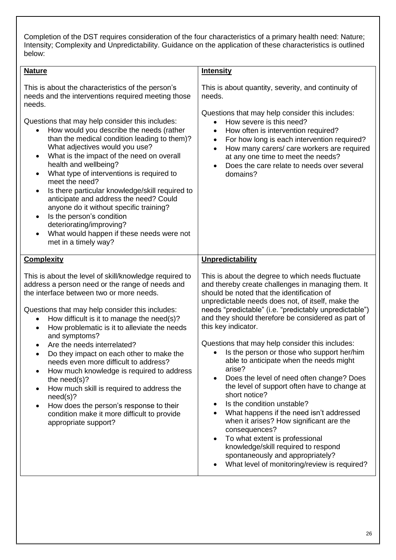Completion of the DST requires consideration of the four characteristics of a primary health need: Nature; Intensity; Complexity and Unpredictability. Guidance on the application of these characteristics is outlined below:

| <b>Nature</b>                                                                                                                                                                                                                                                                                                                                                                                                                                                                                                                                                                                                                                                                                                                           | <b>Intensity</b>                                                                                                                                                                                                                                                                                                                                                                                                                                                                                                                                                                                                                                                                                                                                                                                                                                                                                                                                                |  |  |  |
|-----------------------------------------------------------------------------------------------------------------------------------------------------------------------------------------------------------------------------------------------------------------------------------------------------------------------------------------------------------------------------------------------------------------------------------------------------------------------------------------------------------------------------------------------------------------------------------------------------------------------------------------------------------------------------------------------------------------------------------------|-----------------------------------------------------------------------------------------------------------------------------------------------------------------------------------------------------------------------------------------------------------------------------------------------------------------------------------------------------------------------------------------------------------------------------------------------------------------------------------------------------------------------------------------------------------------------------------------------------------------------------------------------------------------------------------------------------------------------------------------------------------------------------------------------------------------------------------------------------------------------------------------------------------------------------------------------------------------|--|--|--|
| This is about the characteristics of the person's<br>needs and the interventions required meeting those<br>needs.                                                                                                                                                                                                                                                                                                                                                                                                                                                                                                                                                                                                                       | This is about quantity, severity, and continuity of<br>needs.                                                                                                                                                                                                                                                                                                                                                                                                                                                                                                                                                                                                                                                                                                                                                                                                                                                                                                   |  |  |  |
| Questions that may help consider this includes:<br>How would you describe the needs (rather<br>than the medical condition leading to them)?<br>What adjectives would you use?<br>What is the impact of the need on overall<br>$\bullet$<br>health and wellbeing?<br>What type of interventions is required to<br>$\bullet$<br>meet the need?<br>Is there particular knowledge/skill required to<br>$\bullet$<br>anticipate and address the need? Could<br>anyone do it without specific training?<br>Is the person's condition<br>$\bullet$<br>deteriorating/improving?<br>What would happen if these needs were not<br>$\bullet$<br>met in a timely way?                                                                               | Questions that may help consider this includes:<br>How severe is this need?<br>$\bullet$<br>How often is intervention required?<br>For how long is each intervention required?<br>$\bullet$<br>How many carers/ care workers are required<br>$\bullet$<br>at any one time to meet the needs?<br>Does the care relate to needs over several<br>domains?                                                                                                                                                                                                                                                                                                                                                                                                                                                                                                                                                                                                          |  |  |  |
| <b>Complexity</b>                                                                                                                                                                                                                                                                                                                                                                                                                                                                                                                                                                                                                                                                                                                       | Unpredictability                                                                                                                                                                                                                                                                                                                                                                                                                                                                                                                                                                                                                                                                                                                                                                                                                                                                                                                                                |  |  |  |
| This is about the level of skill/knowledge required to<br>address a person need or the range of needs and<br>the interface between two or more needs.<br>Questions that may help consider this includes:<br>How difficult is it to manage the need(s)?<br>$\bullet$<br>How problematic is it to alleviate the needs<br>$\bullet$<br>and symptoms?<br>Are the needs interrelated?<br>Do they impact on each other to make the<br>needs even more difficult to address?<br>How much knowledge is required to address<br>the need(s)?<br>How much skill is required to address the<br>$\bullet$<br>need(s)?<br>How does the person's response to their<br>$\bullet$<br>condition make it more difficult to provide<br>appropriate support? | This is about the degree to which needs fluctuate<br>and thereby create challenges in managing them. It<br>should be noted that the identification of<br>unpredictable needs does not, of itself, make the<br>needs "predictable" (i.e. "predictably unpredictable")<br>and they should therefore be considered as part of<br>this key indicator.<br>Questions that may help consider this includes:<br>Is the person or those who support her/him<br>$\bullet$<br>able to anticipate when the needs might<br>arise?<br>Does the level of need often change? Does<br>the level of support often have to change at<br>short notice?<br>Is the condition unstable?<br>$\bullet$<br>What happens if the need isn't addressed<br>when it arises? How significant are the<br>consequences?<br>To what extent is professional<br>$\bullet$<br>knowledge/skill required to respond<br>spontaneously and appropriately?<br>What level of monitoring/review is required? |  |  |  |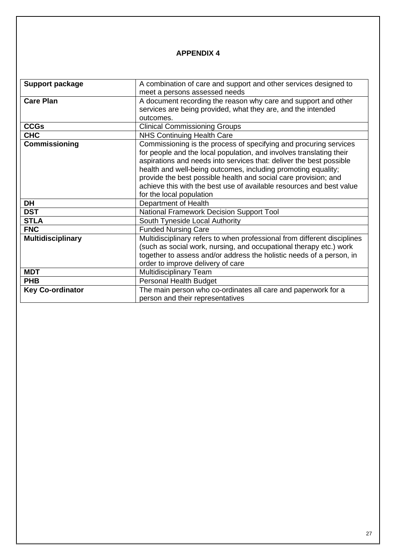## **APPENDIX 4**

| Support package          | A combination of care and support and other services designed to         |  |  |  |
|--------------------------|--------------------------------------------------------------------------|--|--|--|
|                          | meet a persons assessed needs                                            |  |  |  |
| <b>Care Plan</b>         | A document recording the reason why care and support and other           |  |  |  |
|                          | services are being provided, what they are, and the intended             |  |  |  |
|                          | outcomes.                                                                |  |  |  |
| <b>CCGs</b>              | <b>Clinical Commissioning Groups</b>                                     |  |  |  |
| <b>CHC</b>               | <b>NHS Continuing Health Care</b>                                        |  |  |  |
| <b>Commissioning</b>     | Commissioning is the process of specifying and procuring services        |  |  |  |
|                          | for people and the local population, and involves translating their      |  |  |  |
|                          | aspirations and needs into services that: deliver the best possible      |  |  |  |
|                          | health and well-being outcomes, including promoting equality;            |  |  |  |
|                          | provide the best possible health and social care provision; and          |  |  |  |
|                          | achieve this with the best use of available resources and best value     |  |  |  |
|                          | for the local population                                                 |  |  |  |
| DH                       | Department of Health                                                     |  |  |  |
| <b>DST</b>               | <b>National Framework Decision Support Tool</b>                          |  |  |  |
| <b>STLA</b>              | South Tyneside Local Authority                                           |  |  |  |
| <b>FNC</b>               | <b>Funded Nursing Care</b>                                               |  |  |  |
| <b>Multidisciplinary</b> | Multidisciplinary refers to when professional from different disciplines |  |  |  |
|                          | (such as social work, nursing, and occupational therapy etc.) work       |  |  |  |
|                          | together to assess and/or address the holistic needs of a person, in     |  |  |  |
|                          | order to improve delivery of care                                        |  |  |  |
| <b>MDT</b>               | Multidisciplinary Team                                                   |  |  |  |
| <b>PHB</b>               | Personal Health Budget                                                   |  |  |  |
| <b>Key Co-ordinator</b>  | The main person who co-ordinates all care and paperwork for a            |  |  |  |
|                          | person and their representatives                                         |  |  |  |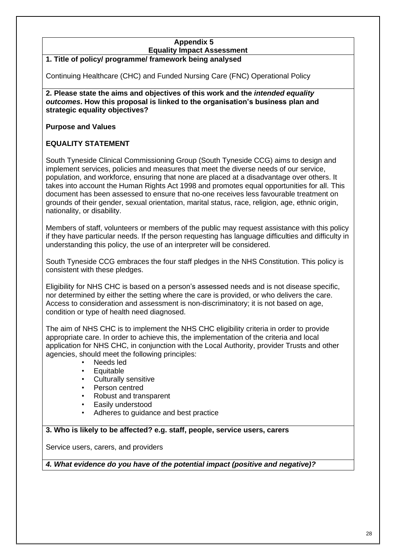# **Appendix 5**

## **Equality Impact Assessment**

**1. Title of policy/ programme/ framework being analysed** 

Continuing Healthcare (CHC) and Funded Nursing Care (FNC) Operational Policy

**2. Please state the aims and objectives of this work and the** *intended equality outcomes***. How this proposal is linked to the organisation's business plan and strategic equality objectives?** 

**Purpose and Values** 

## **EQUALITY STATEMENT**

South Tyneside Clinical Commissioning Group (South Tyneside CCG) aims to design and implement services, policies and measures that meet the diverse needs of our service, population, and workforce, ensuring that none are placed at a disadvantage over others. It takes into account the Human Rights Act 1998 and promotes equal opportunities for all. This document has been assessed to ensure that no-one receives less favourable treatment on grounds of their gender, sexual orientation, marital status, race, religion, age, ethnic origin, nationality, or disability.

Members of staff, volunteers or members of the public may request assistance with this policy if they have particular needs. If the person requesting has language difficulties and difficulty in understanding this policy, the use of an interpreter will be considered.

South Tyneside CCG embraces the four staff pledges in the NHS Constitution. This policy is consistent with these pledges.

Eligibility for NHS CHC is based on a person's assessed needs and is not disease specific, nor determined by either the setting where the care is provided, or who delivers the care. Access to consideration and assessment is non-discriminatory; it is not based on age, condition or type of health need diagnosed.

The aim of NHS CHC is to implement the NHS CHC eligibility criteria in order to provide appropriate care. In order to achieve this, the implementation of the criteria and local application for NHS CHC, in conjunction with the Local Authority, provider Trusts and other agencies, should meet the following principles:

- Needs led
- **Equitable**
- Culturally sensitive
- Person centred
- Robust and transparent
- Easily understood
- Adheres to guidance and best practice

**3. Who is likely to be affected? e.g. staff, people, service users, carers** 

Service users, carers, and providers

*4. What evidence do you have of the potential impact (positive and negative)?*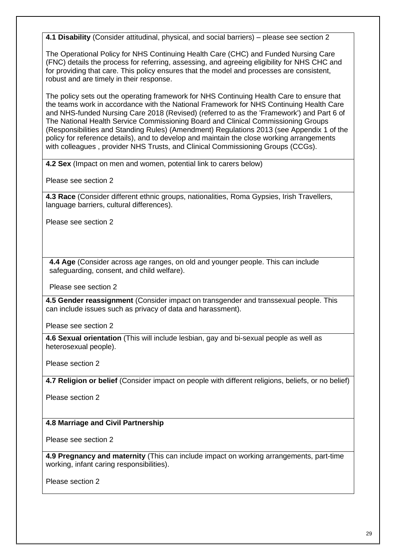**4.1 Disability** (Consider attitudinal, physical, and social barriers) – please see section 2

The Operational Policy for NHS Continuing Health Care (CHC) and Funded Nursing Care (FNC) details the process for referring, assessing, and agreeing eligibility for NHS CHC and for providing that care. This policy ensures that the model and processes are consistent, robust and are timely in their response.

The policy sets out the operating framework for NHS Continuing Health Care to ensure that the teams work in accordance with the National Framework for NHS Continuing Health Care and NHS-funded Nursing Care 2018 (Revised) (referred to as the 'Framework') and Part 6 of The National Health Service Commissioning Board and Clinical Commissioning Groups (Responsibilities and Standing Rules) (Amendment) Regulations 2013 (see Appendix 1 of the policy for reference details), and to develop and maintain the close working arrangements with colleagues , provider NHS Trusts, and Clinical Commissioning Groups (CCGs).

**4.2 Sex** (Impact on men and women, potential link to carers below)

Please see section 2

**4.3 Race** (Consider different ethnic groups, nationalities, Roma Gypsies, Irish Travellers, language barriers, cultural differences).

Please see section 2

**4.4 Age** (Consider across age ranges, on old and younger people. This can include safeguarding, consent, and child welfare).

Please see section 2

**4.5 Gender reassignment** (Consider impact on transgender and transsexual people. This can include issues such as privacy of data and harassment).

Please see section 2

**4.6 Sexual orientation** (This will include lesbian, gay and bi-sexual people as well as heterosexual people).

Please section 2

**4.7 Religion or belief** (Consider impact on people with different religions, beliefs, or no belief)

Please section 2

## **4.8 Marriage and Civil Partnership**

Please see section 2

**4.9 Pregnancy and maternity** (This can include impact on working arrangements, part-time working, infant caring responsibilities).

Please section 2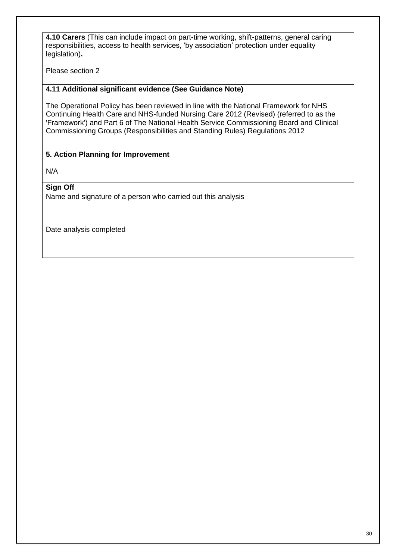**4.10 Carers** (This can include impact on part-time working, shift-patterns, general caring responsibilities, access to health services, 'by association' protection under equality legislation)**.** 

Please section 2

## **4.11 Additional significant evidence (See Guidance Note)**

The Operational Policy has been reviewed in line with the National Framework for NHS Continuing Health Care and NHS-funded Nursing Care 2012 (Revised) (referred to as the 'Framework') and Part 6 of The National Health Service Commissioning Board and Clinical Commissioning Groups (Responsibilities and Standing Rules) Regulations 2012

## **5. Action Planning for Improvement**

N/A

**Sign Off**

Name and signature of a person who carried out this analysis

Date analysis completed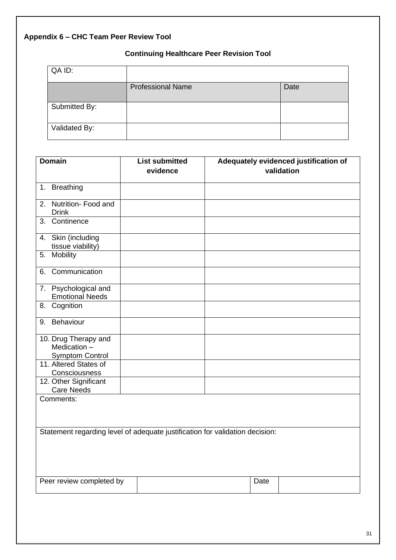## **Appendix 6 – CHC Team Peer Review Tool**

## **Continuing Healthcare Peer Revision Tool**

| QA ID:        |                          |      |
|---------------|--------------------------|------|
|               | <b>Professional Name</b> | Date |
| Submitted By: |                          |      |
| Validated By: |                          |      |

| <b>Domain</b>                                                                | <b>List submitted</b><br>evidence |  |      | Adequately evidenced justification of<br>validation |
|------------------------------------------------------------------------------|-----------------------------------|--|------|-----------------------------------------------------|
| 1. Breathing                                                                 |                                   |  |      |                                                     |
| 2. Nutrition- Food and<br><b>Drink</b>                                       |                                   |  |      |                                                     |
| 3. Continence                                                                |                                   |  |      |                                                     |
| 4. Skin (including<br>tissue viability)                                      |                                   |  |      |                                                     |
| <b>Mobility</b><br>5.                                                        |                                   |  |      |                                                     |
| Communication<br>6.                                                          |                                   |  |      |                                                     |
| 7. Psychological and<br><b>Emotional Needs</b>                               |                                   |  |      |                                                     |
| Cognition<br>8.                                                              |                                   |  |      |                                                     |
| 9. Behaviour                                                                 |                                   |  |      |                                                     |
| 10. Drug Therapy and<br>Medication-<br><b>Symptom Control</b>                |                                   |  |      |                                                     |
| 11. Altered States of<br>Consciousness                                       |                                   |  |      |                                                     |
| 12. Other Significant<br><b>Care Needs</b>                                   |                                   |  |      |                                                     |
| Comments:                                                                    |                                   |  |      |                                                     |
| Statement regarding level of adequate justification for validation decision: |                                   |  |      |                                                     |
| Peer review completed by                                                     |                                   |  | Date |                                                     |